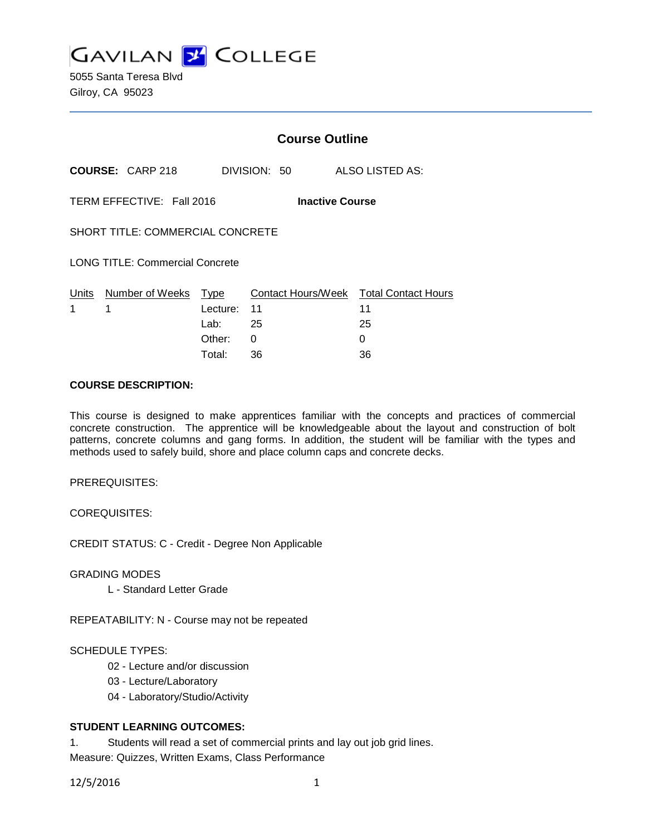**GAVILAN 2 COLLEGE** 

5055 Santa Teresa Blvd Gilroy, CA 95023

|                                                     |                            | <b>Course Outline</b> |              |  |                                        |
|-----------------------------------------------------|----------------------------|-----------------------|--------------|--|----------------------------------------|
|                                                     | <b>COURSE: CARP 218</b>    |                       | DIVISION: 50 |  | ALSO LISTED AS:                        |
| TERM EFFECTIVE: Fall 2016<br><b>Inactive Course</b> |                            |                       |              |  |                                        |
| <b>SHORT TITLE: COMMERCIAL CONCRETE</b>             |                            |                       |              |  |                                        |
| <b>LONG TITLE: Commercial Concrete</b>              |                            |                       |              |  |                                        |
|                                                     | Units Number of Weeks Type |                       |              |  | Contact Hours/Week Total Contact Hours |
| 1                                                   | 1                          | Lecture: 11           |              |  | 11                                     |
|                                                     |                            | Lab: $25$             |              |  | 25                                     |
|                                                     |                            | Other:                | 0            |  | 0                                      |
|                                                     |                            | Total:                | 36           |  | 36                                     |

## **COURSE DESCRIPTION:**

This course is designed to make apprentices familiar with the concepts and practices of commercial concrete construction. The apprentice will be knowledgeable about the layout and construction of bolt patterns, concrete columns and gang forms. In addition, the student will be familiar with the types and methods used to safely build, shore and place column caps and concrete decks.

PREREQUISITES:

COREQUISITES:

CREDIT STATUS: C - Credit - Degree Non Applicable

GRADING MODES

L - Standard Letter Grade

REPEATABILITY: N - Course may not be repeated

### SCHEDULE TYPES:

- 02 Lecture and/or discussion
- 03 Lecture/Laboratory
- 04 Laboratory/Studio/Activity

# **STUDENT LEARNING OUTCOMES:**

1. Students will read a set of commercial prints and lay out job grid lines. Measure: Quizzes, Written Exams, Class Performance

12/5/2016 1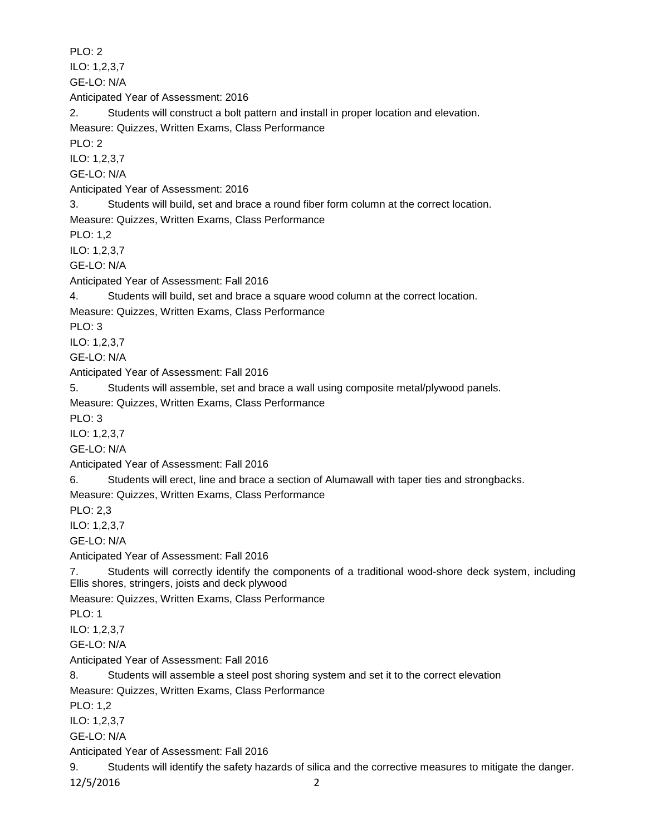PLO: 2 ILO: 1,2,3,7 GE-LO: N/A Anticipated Year of Assessment: 2016 2. Students will construct a bolt pattern and install in proper location and elevation. Measure: Quizzes, Written Exams, Class Performance PLO: 2 ILO: 1,2,3,7 GE-LO: N/A Anticipated Year of Assessment: 2016 3. Students will build, set and brace a round fiber form column at the correct location. Measure: Quizzes, Written Exams, Class Performance PLO: 1,2 ILO: 1,2,3,7 GE-LO: N/A Anticipated Year of Assessment: Fall 2016 4. Students will build, set and brace a square wood column at the correct location. Measure: Quizzes, Written Exams, Class Performance PLO: 3 ILO: 1,2,3,7 GE-LO: N/A Anticipated Year of Assessment: Fall 2016 5. Students will assemble, set and brace a wall using composite metal/plywood panels. Measure: Quizzes, Written Exams, Class Performance PLO: 3 ILO: 1,2,3,7 GE-LO: N/A Anticipated Year of Assessment: Fall 2016 6. Students will erect, line and brace a section of Alumawall with taper ties and strongbacks. Measure: Quizzes, Written Exams, Class Performance PLO: 2,3 ILO: 1,2,3,7 GE-LO: N/A Anticipated Year of Assessment: Fall 2016 7. Students will correctly identify the components of a traditional wood-shore deck system, including Ellis shores, stringers, joists and deck plywood Measure: Quizzes, Written Exams, Class Performance PLO: 1 ILO: 1,2,3,7 GE-LO: N/A Anticipated Year of Assessment: Fall 2016 8. Students will assemble a steel post shoring system and set it to the correct elevation Measure: Quizzes, Written Exams, Class Performance PLO: 1,2 ILO: 1,2,3,7 GE-LO: N/A Anticipated Year of Assessment: Fall 2016 9. Students will identify the safety hazards of silica and the corrective measures to mitigate the danger. 12/5/2016 2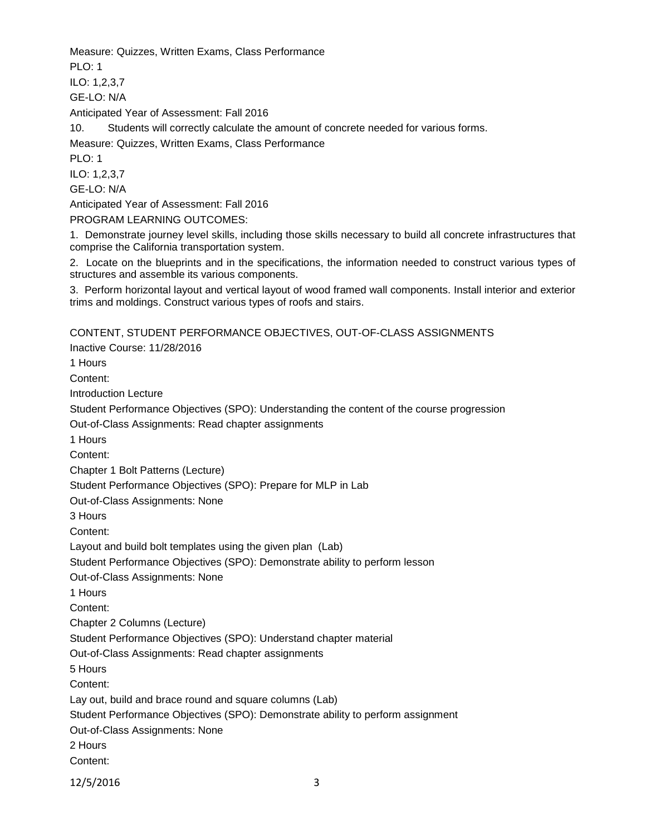Measure: Quizzes, Written Exams, Class Performance

 $PI$  O: 1

ILO: 1,2,3,7 GE-LO: N/A

Anticipated Year of Assessment: Fall 2016

10. Students will correctly calculate the amount of concrete needed for various forms.

Measure: Quizzes, Written Exams, Class Performance

PLO: 1

ILO: 1,2,3,7

GE-LO: N/A

Anticipated Year of Assessment: Fall 2016

PROGRAM LEARNING OUTCOMES:

1. Demonstrate journey level skills, including those skills necessary to build all concrete infrastructures that comprise the California transportation system.

2. Locate on the blueprints and in the specifications, the information needed to construct various types of structures and assemble its various components.

3. Perform horizontal layout and vertical layout of wood framed wall components. Install interior and exterior trims and moldings. Construct various types of roofs and stairs.

CONTENT, STUDENT PERFORMANCE OBJECTIVES, OUT-OF-CLASS ASSIGNMENTS

Inactive Course: 11/28/2016 1 Hours Content: Introduction Lecture Student Performance Objectives (SPO): Understanding the content of the course progression Out-of-Class Assignments: Read chapter assignments 1 Hours Content: Chapter 1 Bolt Patterns (Lecture) Student Performance Objectives (SPO): Prepare for MLP in Lab Out-of-Class Assignments: None 3 Hours Content: Layout and build bolt templates using the given plan (Lab) Student Performance Objectives (SPO): Demonstrate ability to perform lesson Out-of-Class Assignments: None 1 Hours Content: Chapter 2 Columns (Lecture) Student Performance Objectives (SPO): Understand chapter material Out-of-Class Assignments: Read chapter assignments 5 Hours Content: Lay out, build and brace round and square columns (Lab) Student Performance Objectives (SPO): Demonstrate ability to perform assignment Out-of-Class Assignments: None 2 Hours Content: 12/5/2016 3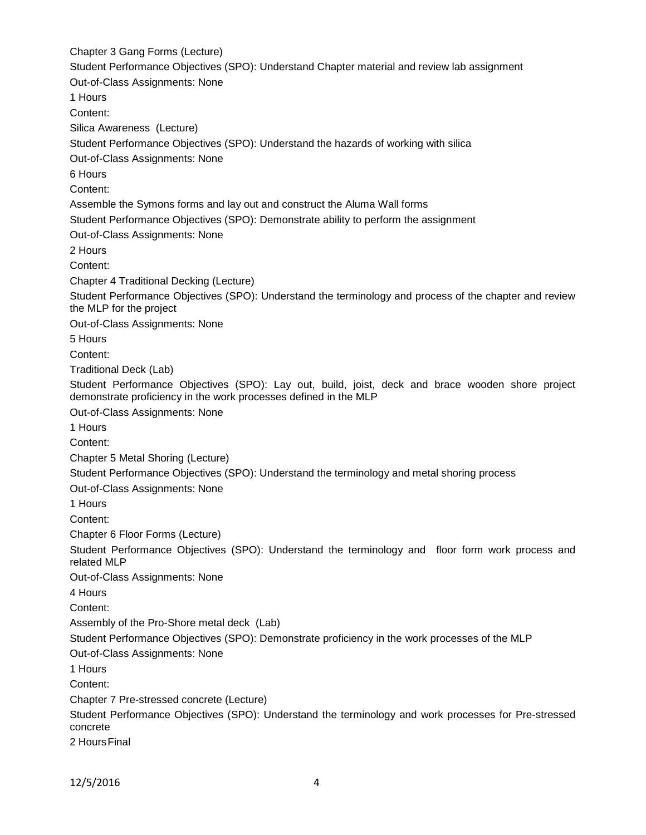Chapter 3 Gang Forms (Lecture) Student Performance Objectives (SPO): Understand Chapter material and review lab assignment Out-of-Class Assignments: None 1 Hours Content: Silica Awareness (Lecture) Student Performance Objectives (SPO): Understand the hazards of working with silica Out-of-Class Assignments: None 6 Hours Content: Assemble the Symons forms and lay out and construct the Aluma Wall forms Student Performance Objectives (SPO): Demonstrate ability to perform the assignment Out-of-Class Assignments: None 2 Hours Content: Chapter 4 Traditional Decking (Lecture) Student Performance Objectives (SPO): Understand the terminology and process of the chapter and review the MLP for the project Out-of-Class Assignments: None 5 Hours Content: Traditional Deck (Lab) Student Performance Objectives (SPO): Lay out, build, joist, deck and brace wooden shore project demonstrate proficiency in the work processes defined in the MLP Out-of-Class Assignments: None 1 Hours Content: Chapter 5 Metal Shoring (Lecture) Student Performance Objectives (SPO): Understand the terminology and metal shoring process Out-of-Class Assignments: None 1 Hours Content: Chapter 6 Floor Forms (Lecture) Student Performance Objectives (SPO): Understand the terminology and floor form work process and related MLP Out-of-Class Assignments: None 4 Hours Content: Assembly of the Pro-Shore metal deck (Lab) Student Performance Objectives (SPO): Demonstrate proficiency in the work processes of the MLP Out-of-Class Assignments: None 1 Hours Content: Chapter 7 Pre-stressed concrete (Lecture) Student Performance Objectives (SPO): Understand the terminology and work processes for Pre-stressed concrete 2 Hours Final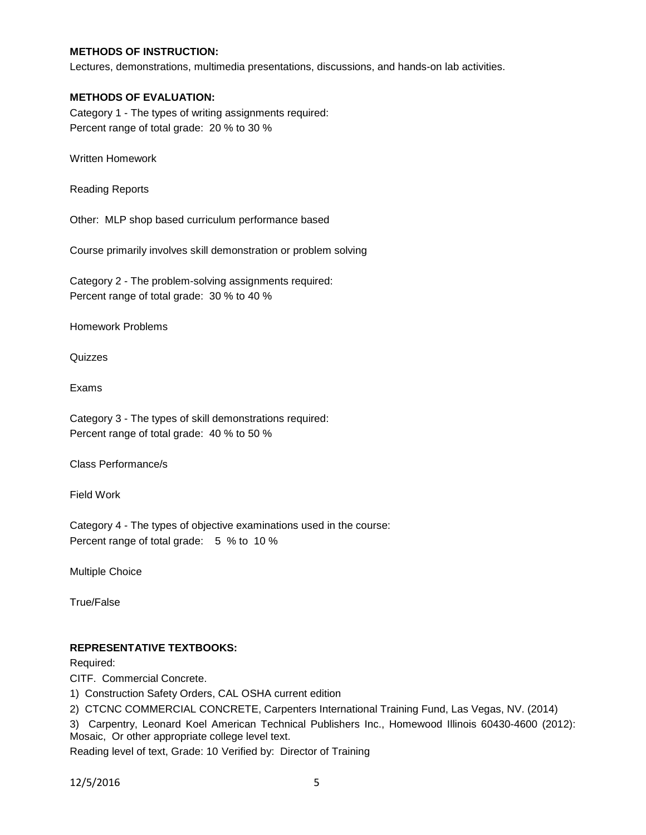# **METHODS OF INSTRUCTION:**

Lectures, demonstrations, multimedia presentations, discussions, and hands-on lab activities.

#### **METHODS OF EVALUATION:**

Category 1 - The types of writing assignments required: Percent range of total grade: 20 % to 30 %

Written Homework

Reading Reports

Other: MLP shop based curriculum performance based

Course primarily involves skill demonstration or problem solving

Category 2 - The problem-solving assignments required: Percent range of total grade: 30 % to 40 %

Homework Problems

Quizzes

Exams

Category 3 - The types of skill demonstrations required: Percent range of total grade: 40 % to 50 %

Class Performance/s

Field Work

Category 4 - The types of objective examinations used in the course: Percent range of total grade: 5 % to 10 %

Multiple Choice

True/False

### **REPRESENTATIVE TEXTBOOKS:**

Required:

CITF. Commercial Concrete.

1) Construction Safety Orders, CAL OSHA current edition

2) CTCNC COMMERCIAL CONCRETE, Carpenters International Training Fund, Las Vegas, NV. (2014)

3) Carpentry, Leonard Koel American Technical Publishers Inc., Homewood Illinois 60430-4600 (2012): Mosaic, Or other appropriate college level text.

Reading level of text, Grade: 10 Verified by: Director of Training